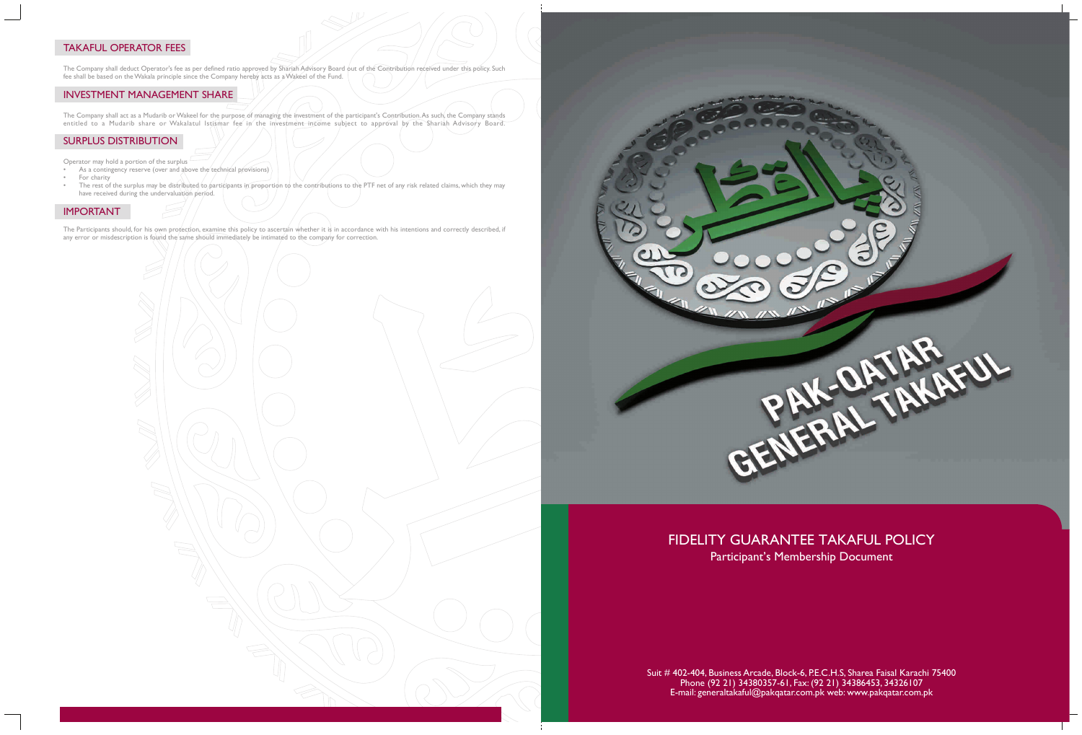# TAKAFUL OPERATOR FEES

The Company shall act as a Mudarib or Wakeel for the purpose of managing the investment of the participant's Contribution. As such, the Company stands entitled to a Mudarib share or Wakalatul Istismar fee in the investment income subject to approval by the Shariah Advisory Board.

The Company shall deduct Operator's fee as per defined ratio approved by Shariah Advisory Board out of the Contribution received under this policy. Such fee shall be based on the Wakala principle since the Company hereby acts as a Wakeel of the Fund.

# INVESTMENT MANAGEMENT SHARE

## SURPLUS DISTRIBUTION

# FIDELITY GUARANTEE TAKAFUL POLICY Participant's Membership Document

Operator may hold a portion of the surplus

- As a contingency reserve (over and above the technical provisions)
- For charity
- The rest of the surplus may be distributed to participants in proportion to the contributions to the PTF net of any risk related claims, which they may have received during the undervaluation period.

#### IMPORTANT

The Participants should, for his own protection, examine this policy to ascertain whether it is in accordance with his intentions and correctly described, if any error or misdescription is found the same should immediately be intimated to the company for correction.



Suit # 402-404, Business Arcade, Block-6, P.E.C.H.S, Sharea Faisal Karachi 75400 Phone (92 21) 34380357-61, Fax: (92 21) 34386453, 34326107 E-mail: generaltakaful@pakqatar.com.pk web: www.pakqatar.com.pk